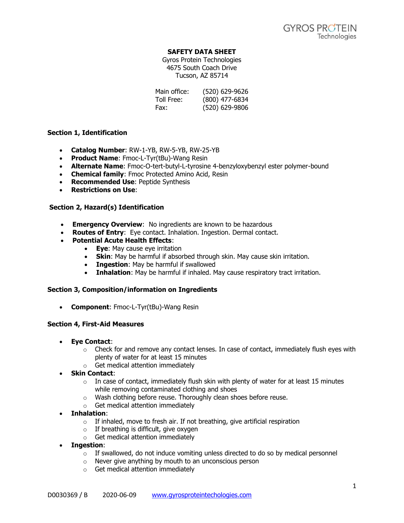## **SAFETY DATA SHEET**

Gyros Protein Technologies 4675 South Coach Drive Tucson, AZ 85714

| Main office: | (520) 629-9626 |
|--------------|----------------|
| Toll Free:   | (800) 477-6834 |
| Fax:         | (520) 629-9806 |

## **Section 1, Identification**

- **Catalog Number**: RW-1-YB, RW-5-YB, RW-25-YB
- **Product Name**: Fmoc-L-Tyr(tBu)-Wang Resin
- **Alternate Name**: Fmoc-O-tert-butyl-L-tyrosine 4-benzyloxybenzyl ester polymer-bound
- **Chemical family**: Fmoc Protected Amino Acid, Resin
- **Recommended Use**: Peptide Synthesis
- **Restrictions on Use**:

## **Section 2, Hazard(s) Identification**

- **Emergency Overview**: No ingredients are known to be hazardous
- **Routes of Entry**: Eye contact. Inhalation. Ingestion. Dermal contact.
- **Potential Acute Health Effects**:
	- **Eye**: May cause eye irritation
		- **Skin**: May be harmful if absorbed through skin. May cause skin irritation.
		- **Ingestion**: May be harmful if swallowed
		- **Inhalation**: May be harmful if inhaled. May cause respiratory tract irritation.

### **Section 3, Composition/information on Ingredients**

• **Component**: Fmoc-L-Tyr(tBu)-Wang Resin

### **Section 4, First-Aid Measures**

- **Eye Contact**:
	- $\circ$  Check for and remove any contact lenses. In case of contact, immediately flush eyes with plenty of water for at least 15 minutes
	- o Get medical attention immediately
- **Skin Contact**:
	- $\circ$  In case of contact, immediately flush skin with plenty of water for at least 15 minutes while removing contaminated clothing and shoes
	- o Wash clothing before reuse. Thoroughly clean shoes before reuse.
	- o Get medical attention immediately
- **Inhalation**:
	- o If inhaled, move to fresh air. If not breathing, give artificial respiration
	- $\circ$  If breathing is difficult, give oxygen
	- o Get medical attention immediately
- **Ingestion**:
	- $\circ$  If swallowed, do not induce vomiting unless directed to do so by medical personnel
	- o Never give anything by mouth to an unconscious person
	- o Get medical attention immediately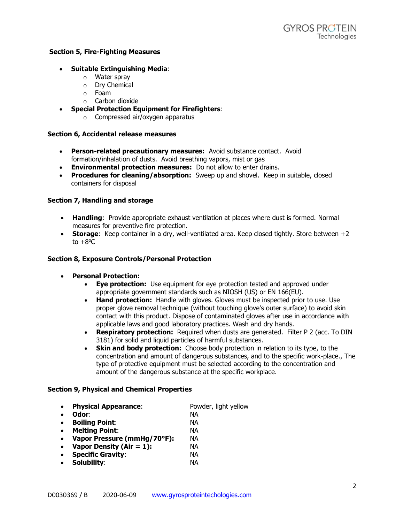### **Section 5, Fire-Fighting Measures**

### • **Suitable Extinguishing Media**:

- o Water spray
- o Dry Chemical
- o Foam
- o Carbon dioxide
- **Special Protection Equipment for Firefighters**:
	- o Compressed air/oxygen apparatus

#### **Section 6, Accidental release measures**

- **Person-related precautionary measures:** Avoid substance contact. Avoid formation/inhalation of dusts. Avoid breathing vapors, mist or gas
- **Environmental protection measures:** Do not allow to enter drains.
- **Procedures for cleaning/absorption:** Sweep up and shovel. Keep in suitable, closed containers for disposal

#### **Section 7, Handling and storage**

- **Handling**: Provide appropriate exhaust ventilation at places where dust is formed. Normal measures for preventive fire protection.
- **Storage:** Keep container in a dry, well-ventilated area. Keep closed tightly. Store between +2 to  $+8^{\circ}$ C

#### **Section 8, Exposure Controls/Personal Protection**

- **Personal Protection:**
	- **Eye protection:** Use equipment for eye protection tested and approved under appropriate government standards such as NIOSH (US) or EN 166(EU).
	- **Hand protection:** Handle with gloves. Gloves must be inspected prior to use. Use proper glove removal technique (without touching glove's outer surface) to avoid skin contact with this product. Dispose of contaminated gloves after use in accordance with applicable laws and good laboratory practices. Wash and dry hands.
	- **Respiratory protection:** Required when dusts are generated. Filter P 2 (acc. To DIN 3181) for solid and liquid particles of harmful substances.
	- **Skin and body protection:** Choose body protection in relation to its type, to the concentration and amount of dangerous substances, and to the specific work-place., The type of protective equipment must be selected according to the concentration and amount of the dangerous substance at the specific workplace.

#### **Section 9, Physical and Chemical Properties**

- **Physical Appearance:** Powder, light yellow
- **Odor**: NA
	-
- **Boiling Point**: NA
- **Melting Point**: NA
- **Vapor Pressure (mmHg/70°F):** NA
- **Vapor Density (Air = 1):** NA
- **Specific Gravity**: NA
- **Solubility**: NA